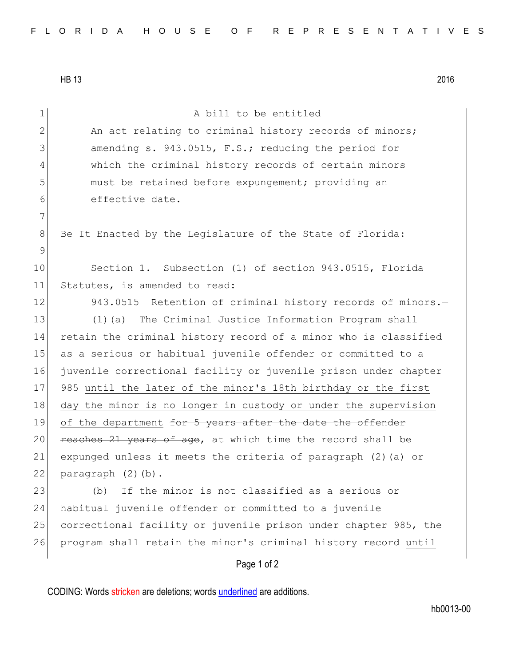HB 13 2016

| 1            | A bill to be entitled                                           |
|--------------|-----------------------------------------------------------------|
| $\mathbf{2}$ | An act relating to criminal history records of minors;          |
| 3            | amending s. 943.0515, F.S.; reducing the period for             |
| 4            | which the criminal history records of certain minors            |
| 5            | must be retained before expungement; providing an               |
| 6            | effective date.                                                 |
| 7            |                                                                 |
| 8            | Be It Enacted by the Legislature of the State of Florida:       |
| 9            |                                                                 |
| 10           | Section 1. Subsection (1) of section 943.0515, Florida          |
| 11           | Statutes, is amended to read:                                   |
| 12           | 943.0515 Retention of criminal history records of minors.-      |
| 13           | (1) (a) The Criminal Justice Information Program shall          |
| 14           | retain the criminal history record of a minor who is classified |
| 15           | as a serious or habitual juvenile offender or committed to a    |
| 16           | juvenile correctional facility or juvenile prison under chapter |
| 17           | 985 until the later of the minor's 18th birthday or the first   |
| 18           | day the minor is no longer in custody or under the supervision  |
| 19           | of the department for 5 years after the date the offender       |
| 20           | reaches 21 years of age, at which time the record shall be      |
| 21           | expunged unless it meets the criteria of paragraph (2) (a) or   |
| 22           | paragraph (2)(b).                                               |
| 23           | If the minor is not classified as a serious or<br>(b)           |
| 24           | habitual juvenile offender or committed to a juvenile           |
| 25           | correctional facility or juvenile prison under chapter 985, the |
| 26           | program shall retain the minor's criminal history record until  |
|              | Page 1 of 2                                                     |
|              |                                                                 |

CODING: Words stricken are deletions; words underlined are additions.